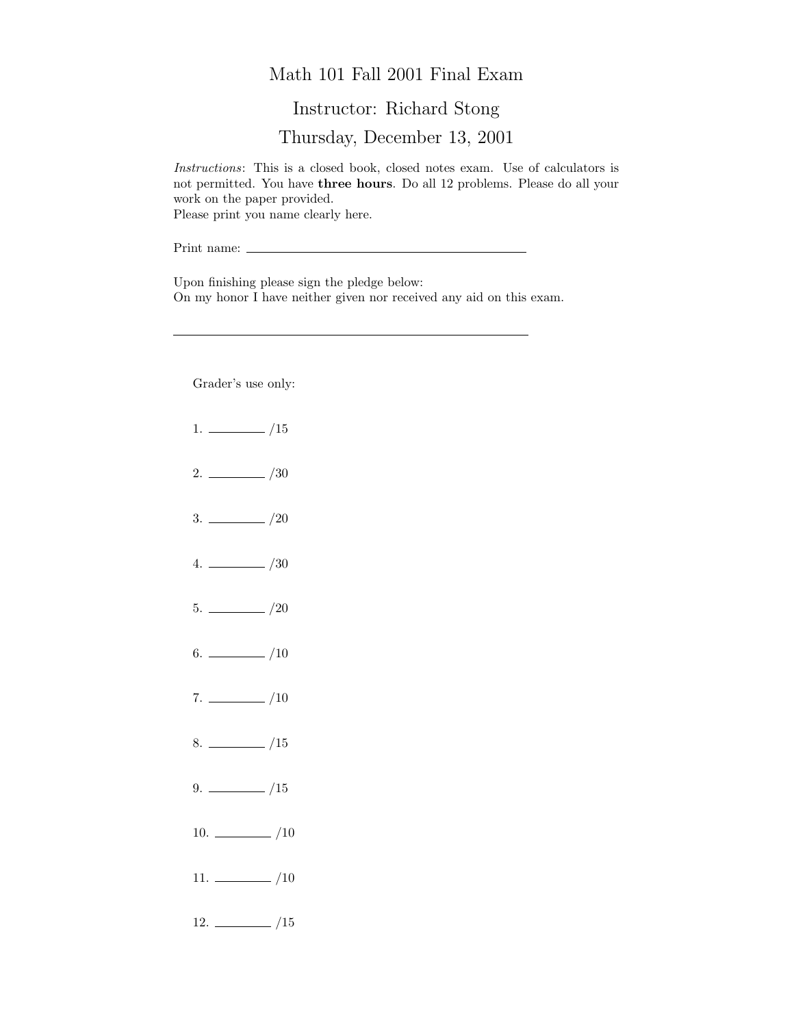## Math 101 Fall 2001 Final Exam

## Instructor: Richard Stong

Thursday, December 13, 2001

Instructions: This is a closed book, closed notes exam. Use of calculators is not permitted. You have three hours. Do all 12 problems. Please do all your work on the paper provided. Please print you name clearly here.

Print name:

Upon finishing please sign the pledge below: On my honor I have neither given nor received any aid on this exam.

Grader's use only:

- $1. \ \_ \ \_ \ \_/15$
- $2. \ \frac{\ }{\ }$  /30
- $3. \ \_/20$
- $4. \ \_ 20$
- $5. \ \_$ /20
- 6.  $\frac{\ }{\ }$  /10
- $7. \ \_$ /10
- $8. \ \_$ /15
- $9. \ \_ \ \_ \ /15$
- 10.  $\frac{10}{2}$
- $11. \ \_/10$
- $12. \ \_$ /15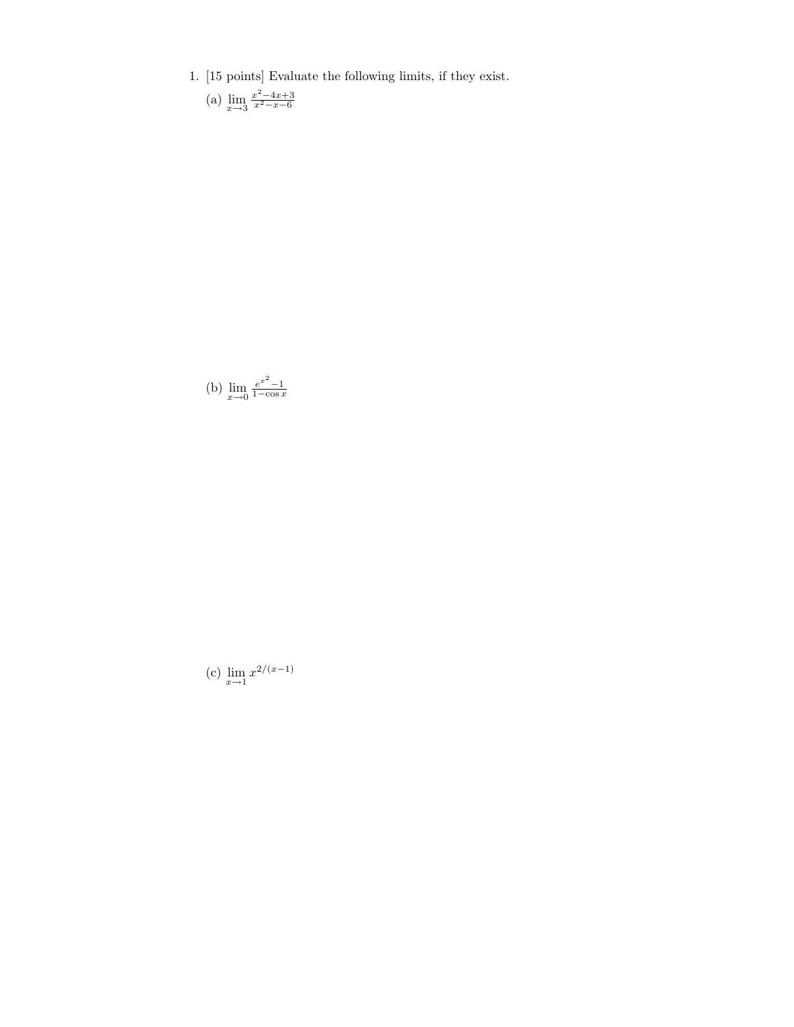1. [15 points] Evaluate the following limits, if they exist.

(a) 
$$
\lim_{x \to 3} \frac{x^2 - 4x + 3}{x^2 - x - 6}
$$

(b) 
$$
\lim_{x \to 0} \frac{e^{x^2} - 1}{1 - \cos x}
$$

(c)  $\lim_{x \to 1} x^{2/(x-1)}$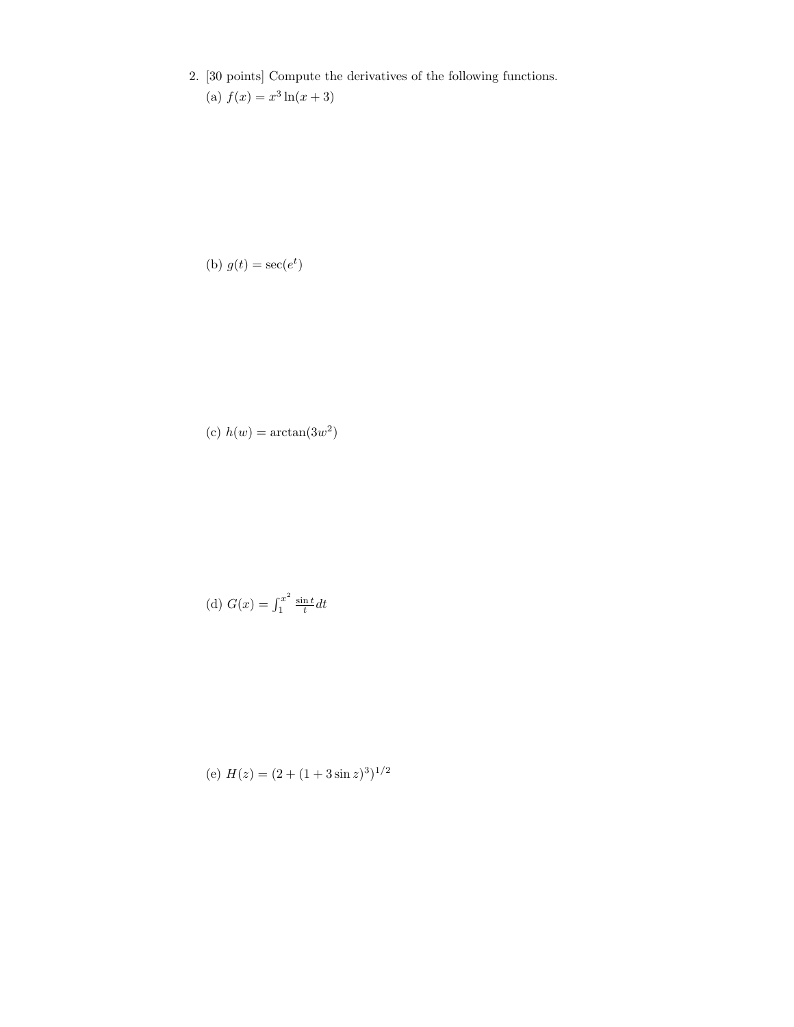2. [30 points] Compute the derivatives of the following functions. (a)  $f(x) = x^3 \ln(x+3)$ 

(b) 
$$
g(t) = \sec(e^t)
$$

(c)  $h(w) = \arctan(3w^2)$ 

(d) 
$$
G(x) = \int_1^{x^2} \frac{\sin t}{t} dt
$$

(e) 
$$
H(z) = (2 + (1 + 3\sin z)^3)^{1/2}
$$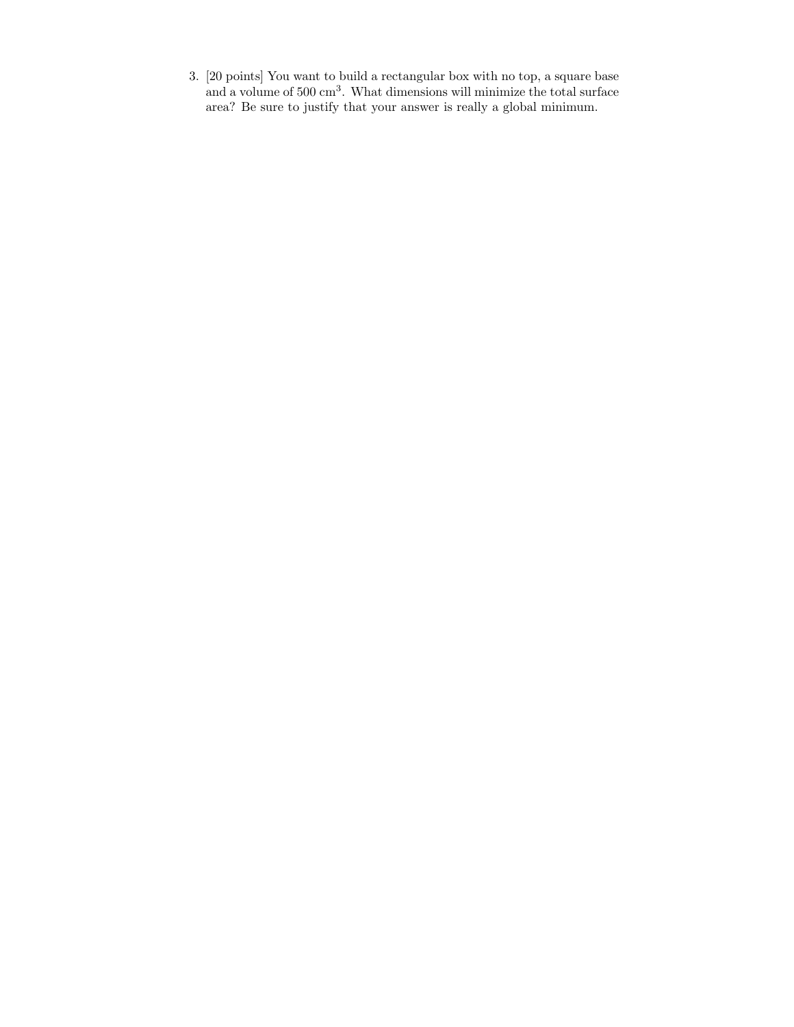3. [20 points] You want to build a rectangular box with no top, a square base and a volume of 500 cm<sup>3</sup>. What dimensions will minimize the total surface area? Be sure to justify that your answer is really a global minimum.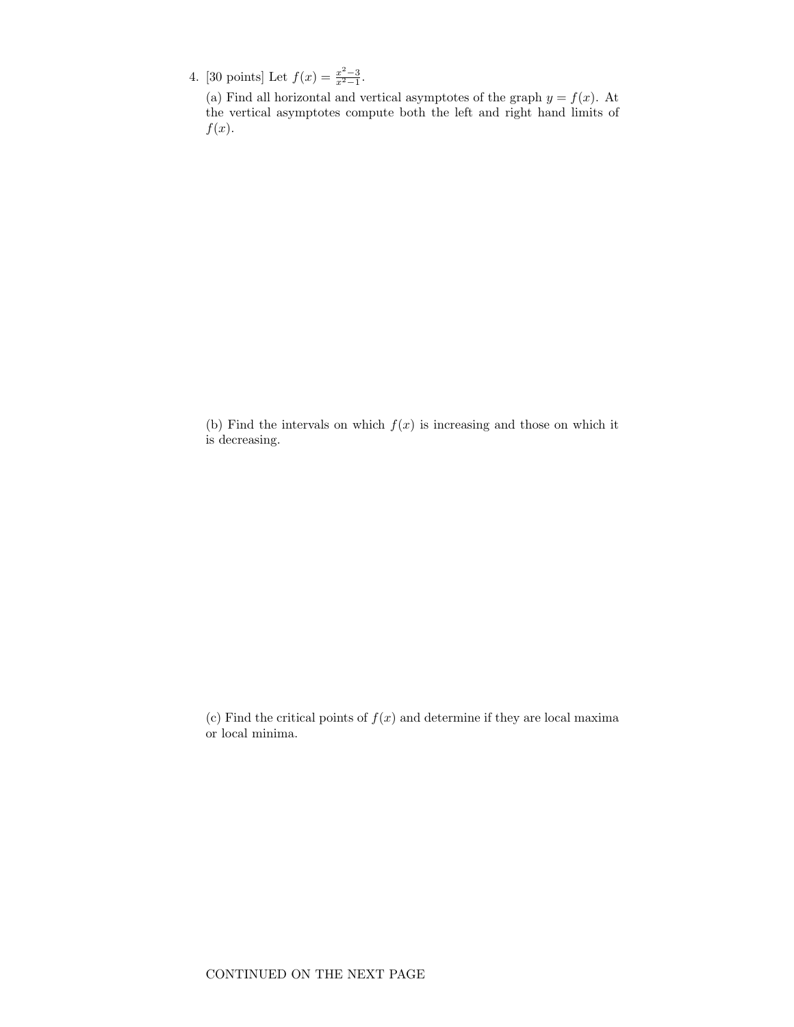4. [30 points] Let  $f(x) = \frac{x^2-3}{x^2-1}$ .

(a) Find all horizontal and vertical asymptotes of the graph  $y = f(x)$ . At the vertical asymptotes compute both the left and right hand limits of  $f(x)$ .

(b) Find the intervals on which  $f(x)$  is increasing and those on which it is decreasing.

(c) Find the critical points of  $f(x)$  and determine if they are local maxima or local minima.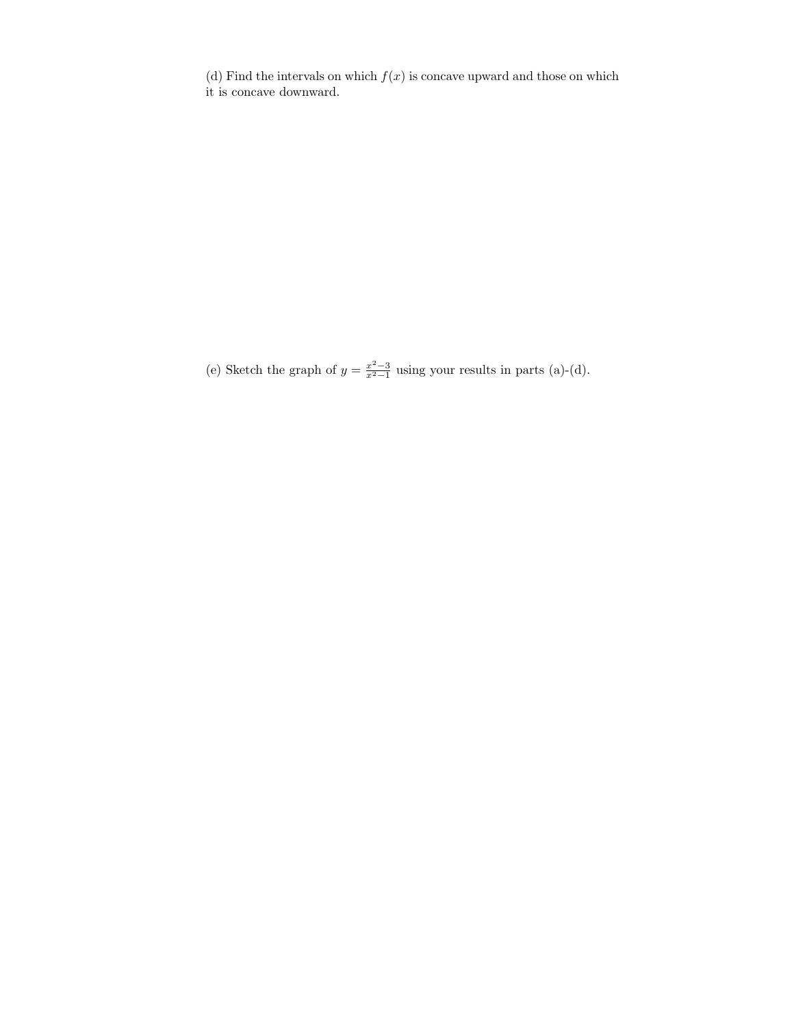(d) Find the intervals on which  $f(x)$  is concave upward and those on which it is concave downward.

(e) Sketch the graph of  $y = \frac{x^2-3}{x^2-1}$  using your results in parts (a)-(d).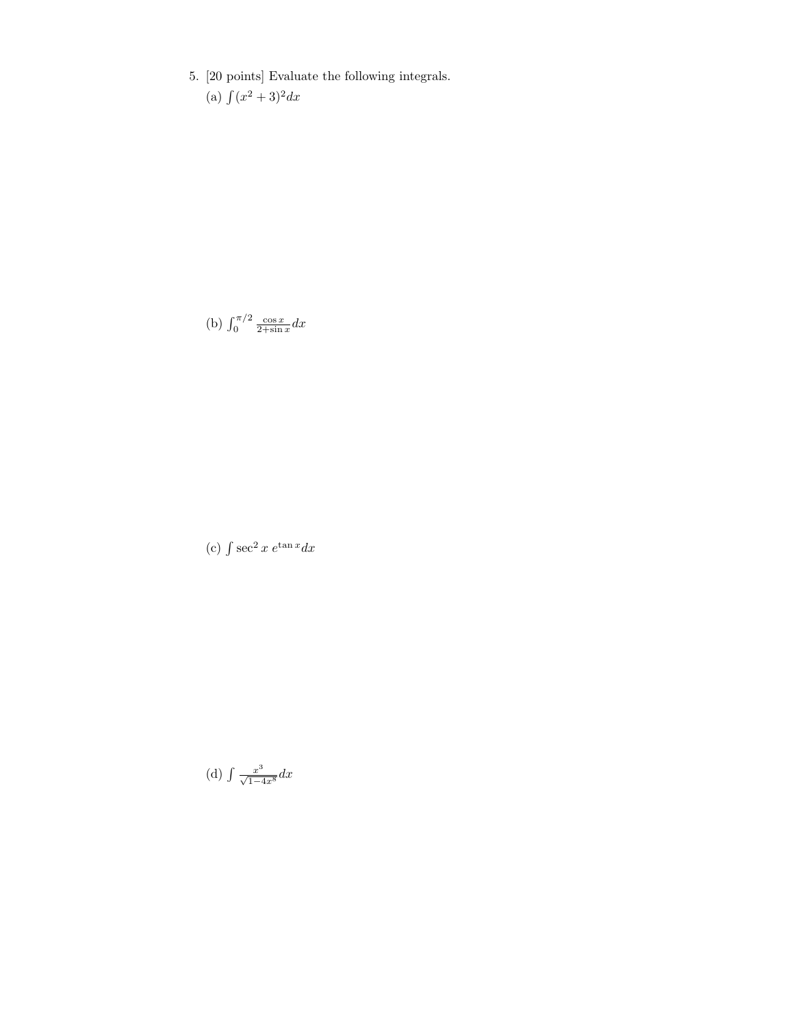5. [20 points] Evaluate the following integrals. (a)  $\int (x^2 + 3)^2 dx$ 

(b)  $\int_0^{\pi/2} \frac{\cos x}{2 + \sin x} dx$ 

(c)  $\int \sec^2 x \, e^{\tan x} dx$ 

(d)  $\int \frac{x^3}{\sqrt{1-4x^8}} dx$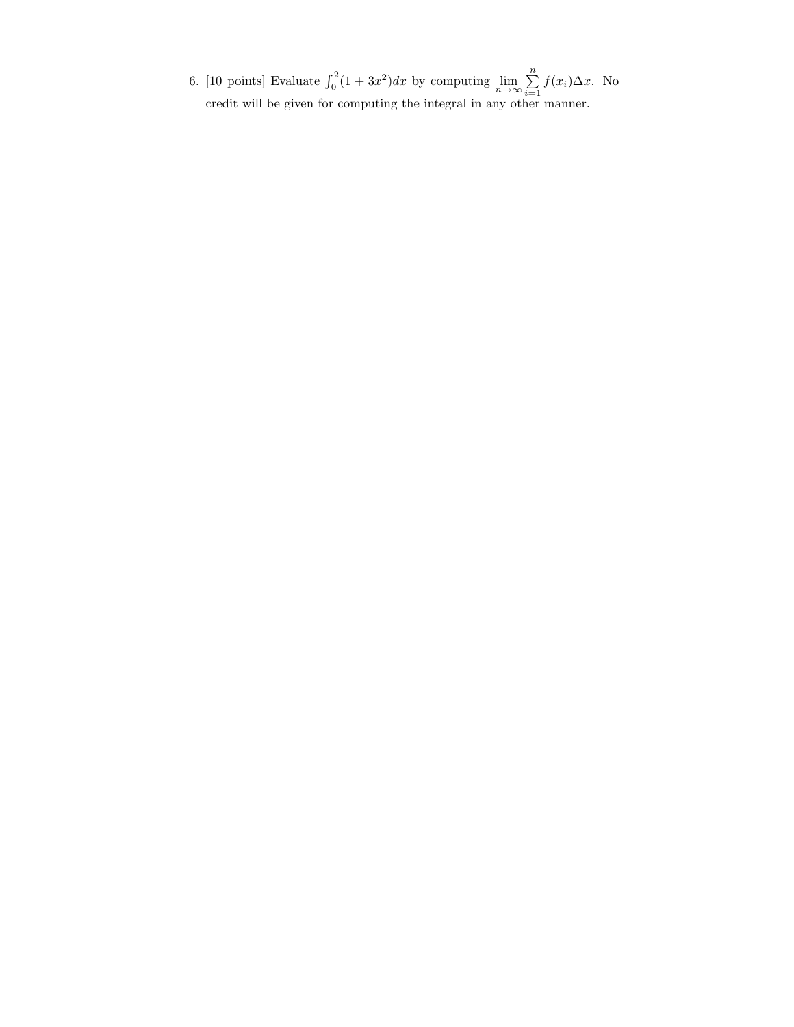6. [10 points] Evaluate  $\int_0^2 (1 + 3x^2) dx$  by computing  $\lim_{n \to \infty} \sum_{i=1}^n$  $\sum_{i=1} f(x_i) \Delta x$ . No credit will be given for computing the integral in any other manner.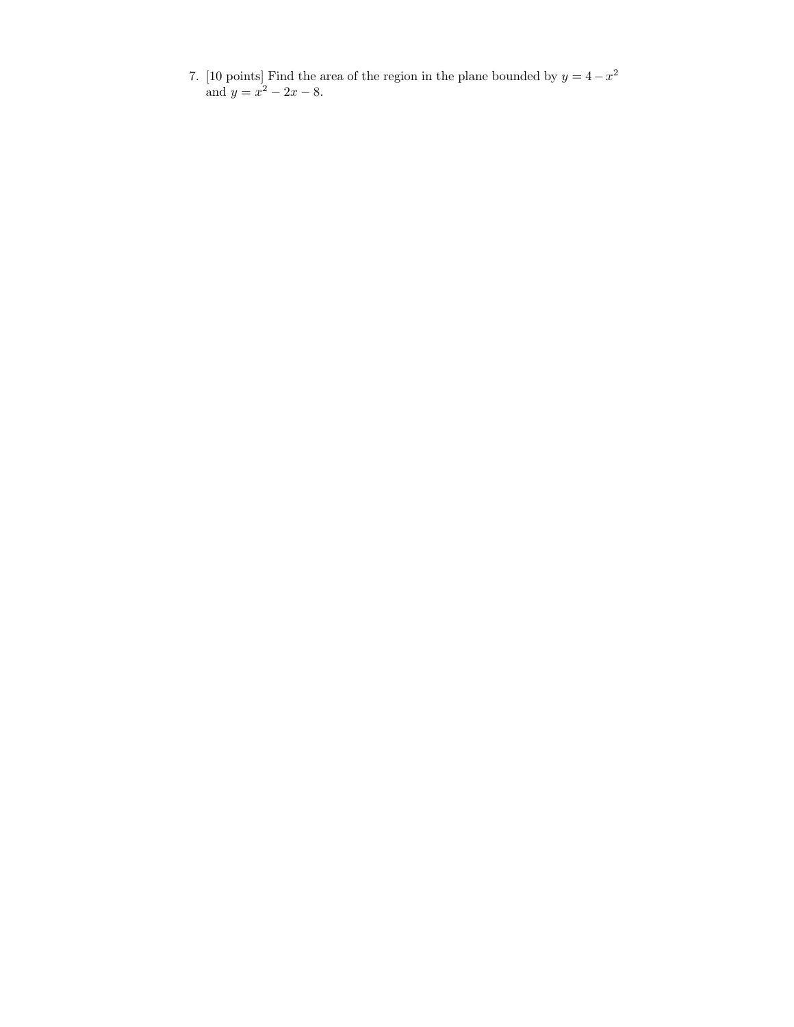7. [10 points] Find the area of the region in the plane bounded by  $y = 4 - x^2$ and  $y = x^2 - 2x - 8$ .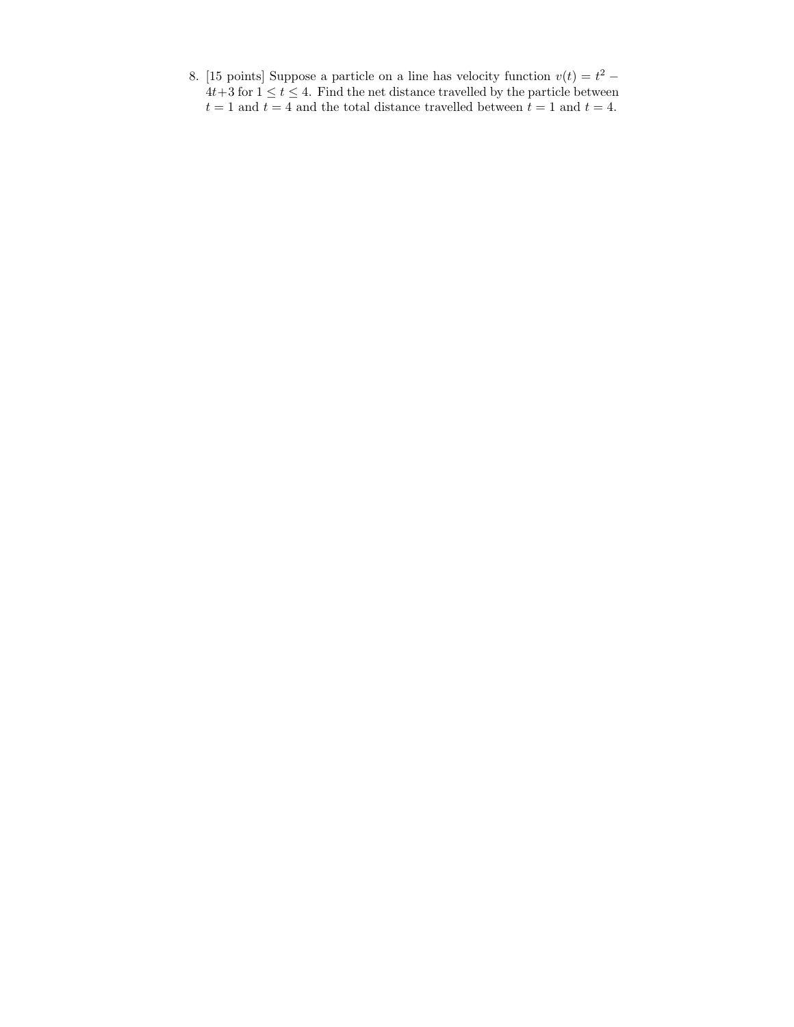8. [15 points] Suppose a particle on a line has velocity function  $v(t) = t^2$  –  $4t+3$  for  $1 \leq t \leq 4$ . Find the net distance travelled by the particle between  $t=1$  and  $t=4$  and the total distance travelled between  $t=1$  and  $t=4.$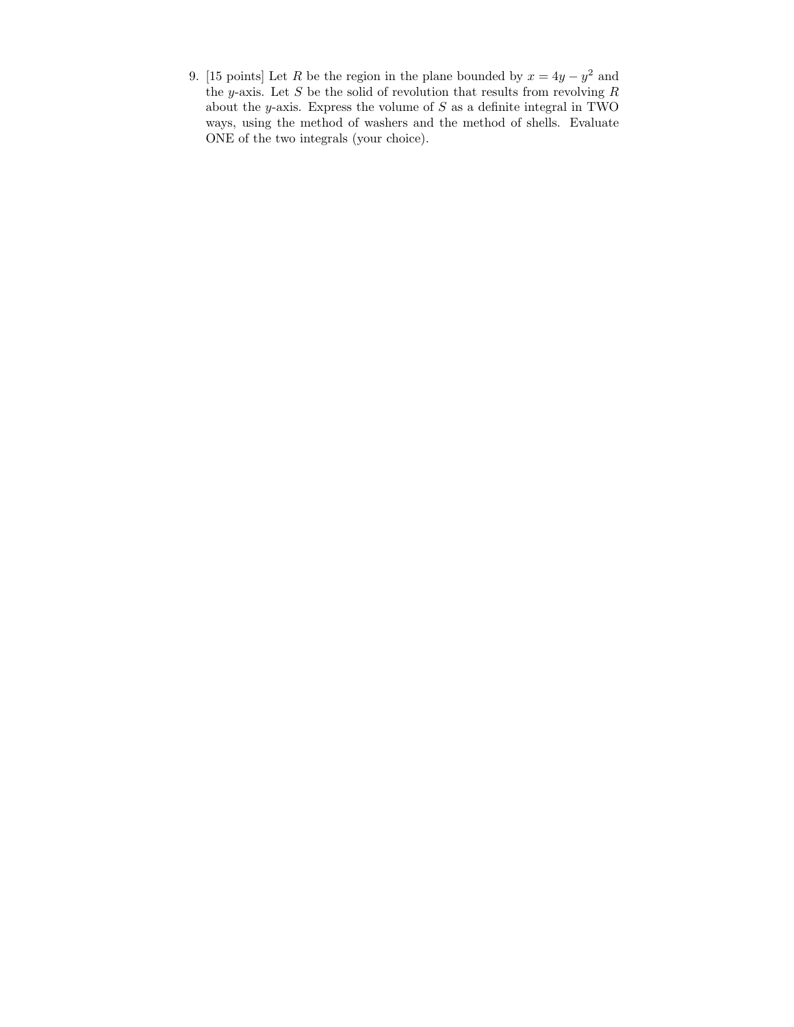9. [15 points] Let R be the region in the plane bounded by  $x = 4y - y^2$  and the y-axis. Let S be the solid of revolution that results from revolving  $R$ about the  $y$ -axis. Express the volume of  $S$  as a definite integral in TWO ways, using the method of washers and the method of shells. Evaluate ONE of the two integrals (your choice).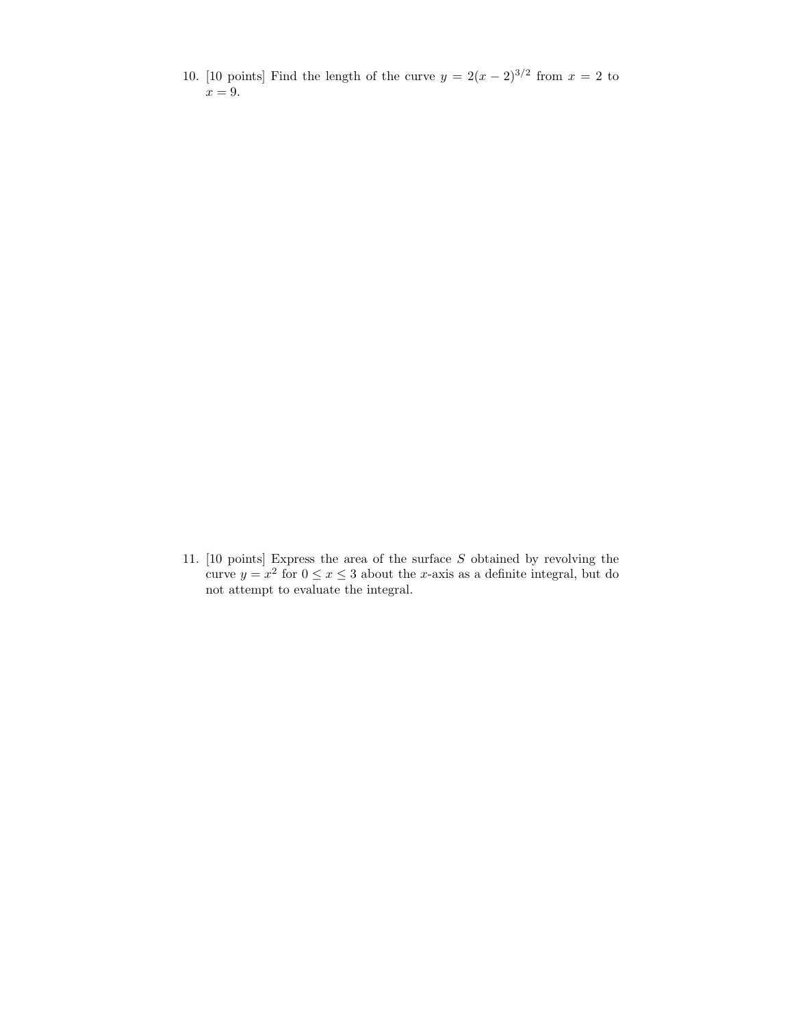10. [10 points] Find the length of the curve  $y = 2(x - 2)^{3/2}$  from  $x = 2$  to  $x = 9$ .

11. [10 points] Express the area of the surface  $S$  obtained by revolving the curve  $y = x^2$  for  $0 \le x \le 3$  about the x-axis as a definite integral, but do not attempt to evaluate the integral.